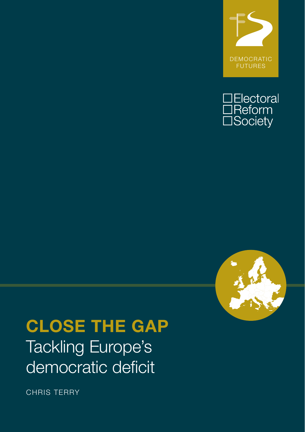





# CLOSE THE GAP Tackling Europe's democratic deficit

CHRIS TERRY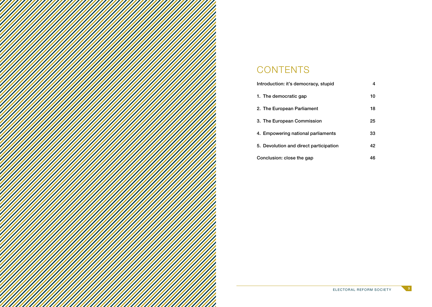

# **CONTENTS**

| Introduction: it's democracy, stupid   | 4  |
|----------------------------------------|----|
| 1. The democratic gap                  | 10 |
| 2. The European Parliament             | 18 |
| 3. The European Commission             | 25 |
| 4. Empowering national parliaments     | 33 |
| 5. Devolution and direct participation | 42 |
| Conclusion: close the gap              | 46 |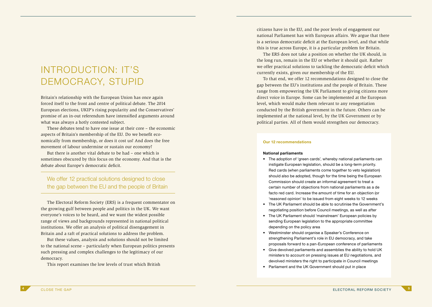## INTRODUCTION: IT'S DEMOCRACY, STUPID

Britain's relationship with the European Union has once again forced itself to the front and centre of political debate. The 2014 European elections, UKIP's rising popularity and the Conservatives' promise of an in-out referendum have intensified arguments around what was always a hotly contested subject.

These debates tend to have one issue at their core – the economic aspects of Britain's membership of the EU. Do we benefit eco nomically from membership, or does it cost us? And does the free movement of labour undermine or sustain our economy?

But there is another vital debate to be had – one which is sometimes obscured by this focus on the economy. And that is the debate about Europe's democratic deficit.

We offer 12 practical solutions designed to close the gap between the EU and the people of Britain

The Electoral Reform Society (ERS) is a frequent commentator on the growing gulf between people and politics in the UK. We want everyone's voices to be heard, and we want the widest possible range of views and backgrounds represented in national political institutions. We offer an analysis of political disengagement in Britain and a raft of practical solutions to address the problem.

But these values, analysis and solutions should not be limited to the national scene – particularly when European politics presents such pressing and complex challenges to the legitimacy of our democracy.

This report examines the low levels of trust which British

citizens have in the EU, and the poor levels of engagement our national Parliament has with European affairs. We argue that there is a serious democratic deficit at the European level, and that while this is true across Europe, it is a particular problem for Britain.

The ERS does not take a position on whether the UK should, in the long run, remain in the EU or whether it should quit. Rather we offer practical solutions to tackling the democratic deficit which currently exists, given our membership of the EU.

To that end, we offer 12 recommendations designed to close the gap between the EU's institutions and the people of Britain. These range from empowering the UK Parliament to giving citizens more direct voice in Europe. Some can be implemented at the European level, which would make them relevant to any renegotiation conducted by the British government in the future. Others can be implemented at the national level, by the UK Government or by political parties. All of them would strengthen our democracy.

#### Our 12 recommendations

#### National parliaments

- The adoption of 'green cards', whereby national parliaments can instigate European legislation, should be a long-term priority. Red cards (when parliaments come together to veto legislation) should also be adopted, though for the time being the European Commission should create an informal agreement to treat a certain number of objections from national parliaments as a de facto red card. Increase the amount of time for an objection (or 'reasoned opinion' to be issued from eight weeks to 12 weeks
- The UK Parliament should be able to scrutinise the Government's negotiating position before Council meetings, as well as after
- The UK Parliament should 'mainstream' European policies by sending European legislation to the appropriate committee depending on the policy area
- Westminster should organise a Speaker's Conference on strengthening Parliament's role in EU democracy, and take proposals forward to a pan-European conference of parliaments
- Give devolved parliaments and assemblies the ability to hold UK ministers to account on pressing issues at EU negotiations, and devolved ministers the right to participate in Council meetings
- Parliament and the UK Government should put in place

4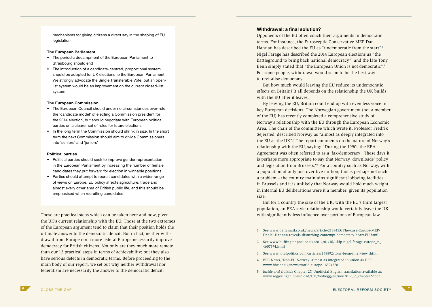mechanisms for giving citizens a direct say in the shaping of EU legislation

#### The European Parliament

- The periodic decampment of the European Parliament to Strasbourg should end
- The introduction of a candidate-centred, proportional system should be adopted for UK elections to the European Parliament. We strongly advocate the Single Transferable Vote, but an openlist system would be an improvement on the current closed-list system

#### The European Commission

- The European Council should under no circumstances over-rule the 'candidate model' of electing a Commission president for the 2014 election, but should negotiate with European political parties on a clearer set of rules for future elections
- In the long term the Commission should shrink in size. In the short term the next Commission should aim to divide Commissioners into 'seniors' and 'iuniors'

#### Political parties

- Political parties should seek to improve gender representation in the European Parliament by increasing the number of female candidates they put forward for election in winnable positions
- Parties should attempt to recruit candidates with a wider range of views on Europe. EU policy affects agriculture, trade and almost every other area of British public life, and this should be emphasised when recruiting candidates

These are practical steps which can be taken here and now, given the UK's current relationship with the EU. Those at the two extremes of the European argument tend to claim that their position holds the ultimate answer to the democratic deficit. But in fact, neither with drawal from Europe nor a more federal Europe necessarily improve democracy for British citizens. Not only are they much more remote than our 12 practical steps in terms of achievability; but they also have serious defects in democratic terms. Before proceeding to the main body of our report, we set out why neither withdrawal nor federalism are necessarily the answer to the democratic deficit.

#### Withdrawal: a final solution?

Opponents of the EU often couch their arguments in democratic terms. For instance, the Eurosceptic Conservative MEP Dan Hannan has described the EU as "undemocratic from the start".<sup>1</sup> Nigel Farage has described the 2014 European elections as "the battleground to bring back national democracy" 2 and the late Tony Benn simply stated that "the European Union is not democratic".<sup>3</sup> For some people, withdrawal would seem to be the best way to revitalise democracy.

But how much would leaving the EU reduce its undemocratic effects on Britain? It all depends on the relationship the UK builds with the EU after it leaves.

By leaving the EU, Britain could end up with even less voice in key European decisions. The Norwegian government (not a member of the EU) has recently completed a comprehensive study of Norway's relationship with the EU through the European Economic Area. The chair of the committee which wrote it, Professor Fredrik Sejersted, described Norway as "almost as deeply integrated into the EU as the UK". 4 The report comments on the nature of Norway's relationship with the EU, saying: "During the 1990s the EEA Agreement was often referred to as a 'fax-democracy'. These days it is perhaps more appropriate to say that Norway 'downloads' policy and legislation from Brussels." 5 For a country such as Norway, with a population of only just over five million, this is perhaps not such a problem – the country maintains significant lobbying facilities in Brussels and it is unlikely that Norway would hold much weight in internal EU deliberations were it a member, given its population size.

But for a country the size of the UK, with the EU's third largest population, an EEA-style relationship would certainly leave the UK with significantly less influence over portions of European law.

- 1 See www.dailymail.co.uk/news/article-2188453/The-case-Europe-MEP-Daniel-Hannan-reveals-disturbing-contempt-democracy-heart-EU.html 2 See www.huffingtonpost.co.uk/2014/01/16/ukip-nigel-farage-europe\_n\_
- 4607574.html
- <sup>3</sup> See www.totalpolitics.com/articles/258892/tony-benn-interview.thtml 4 BBC News, 'Non-EU Norway 'almost as integrated in union as UK''
- www.bbc.co.uk/news/world-europe-16594370
- 5 *Inside and Outside* Chapter 27. Unofficial English translation available at: www.regjeringen.no/upload/UD/Vedlegg/eu/nou2012\_2\_chapter27.pdf

6

7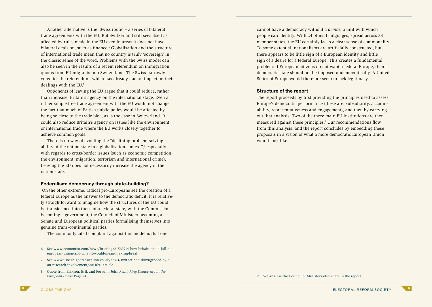Another alternative is the 'Swiss route' – a series of bilateral trade agreements with the EU. But Switzerland still sees itself as affected by rules made in the EU even in areas it does not have bilateral deals on, such as finance.<sup>6</sup> Globalisation and the structure of international trade mean that no country is truly 'sovereign' in the classic sense of the word. Problems with the Swiss model can also be seen in the results of a recent referendum on immigration quotas from EU migrants into Switzerland. The Swiss narrowly voted for the referendum, which has already had an impact on their dealings with the EU.7

Opponents of leaving the EU argue that it could reduce, rather than increase, Britain's agency on the international stage. Even a rather simple free trade agreement with the EU would not change the fact that much of British public policy would be affected by being so close to the trade bloc, as is the case in Switzerland. It could also reduce Britain's agency on issues like the environment, or international trade where the EU works closely together to achieve common goals.

There is no way of avoiding the "declining problem-solving ability of the nation state in a globalisation context",<sup>8</sup> especially with regards to cross-border issues (such as economic competition, the environment, migration, terrorism and international crime). Leaving the EU does not necessarily increase the agency of the nation state.

#### Federalism: democracy through state-building?

 On the other extreme, radical pro-Europeans see the creation of a federal Europe as the answer to the democratic deficit. It is relatively straightforward to imagine how the structures of the EU could be transformed into those of a federal state, with the Commission becoming a government, the Council of Ministers becoming a Senate and European political parties formalising themselves into genuine trans-continental parties.

The commonly cited complaint against this model is that one

- 6 See www.economist.com/news/briefing/21567914-how-britain-could-fall-outeuropean-union-and-what-it-would-mean-making-break
- 7 See www.timeshighereducation.co.uk/news/switzerland-downgraded-by-euon-research-involvement/2011691.article
- 8 Quote from Eriksen, Erik and Fossum, John *Rethinking Democracy in the European Union* Page 24.

cannot have a democracy without a *demos*, a unit with which people can identify. With 24 official languages, spread across 28 member states, the EU certainly lacks a clear sense of commonality. To some extent all nationalisms are artificially constructed, but there appears to be little sign of a European identity and little sign of a desire for a federal Europe. This creates a fundamental problem: if European citizens do not want a federal Europe, then a democratic state should not be imposed undemocratically. A United States of Europe would therefore seem to lack legitimacy.

#### Structure of the report

The report proceeds by first providing the principles used to assess Europe's democratic performance (these are: subsidiarity, accountability, representativeness and engagement), and then by carrying out that analysis. Two of the three main EU institutions are then measured against these principles.9 Our recommendations flow from this analysis, and the report concludes by embedding these proposals in a vision of what a more democratic European Union would look like.

9 We analyse the Council of Ministers elsewhere in the report.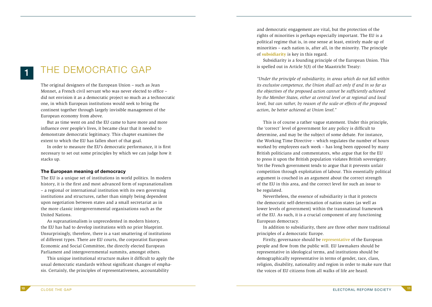# 1

## THE DEMOCRATIC GAP

The original designers of the European Union – such as Jean Monnet, a French civil servant who was never elected to office – did not envision it as a democratic project so much as a technocratic one, in which European institutions would seek to bring the continent together through largely invisible management of the European economy from above.

But as time went on and the EU came to have more and more influence over people's lives, it became clear that it needed to demonstrate democratic legitimacy. This chapter examines the extent to which the EU has fallen short of that goal.

In order to measure the EU's democratic performance, it is first necessary to set out some principles by which we can judge how it stacks up.

#### The European meaning of democracy

The EU is a unique set of institutions in world politics. In modern history, it is the first and most advanced form of supranationalism – a regional or international institution with its own governing institutions and structures, rather than simply being dependent upon negotiation between states and a small secretariat as in the more classic intergovernmental organisations such as the United Nations.

As supranationalism is unprecedented in modern history, the EU has had to develop institutions with no prior blueprint. Unsurprisingly, therefore, there is a vast smattering of institutions of different types. There are EU courts, the corporatist European Economic and Social Committee, the directly elected European Parliament and intergovernmental summits, amongst others.

This unique institutional structure makes it difficult to apply the usual democratic standards without significant changes of emphasis. Certainly, the principles of representativeness, accountability

and democratic engagement are vital, but the protection of the rights of minorities is perhaps especially important. The EU is a political regime that is, in one sense at least, entirely made up of minorities – each nation is, after all, in the minority. The principle of **subsidiarity** is key in this regard.

Subsidiarity is a founding principle of the European Union. This is spelled out in Article 5(3) of the Maastricht Treaty:

*"Under the principle of subsidiarity, in areas which do not fall within its exclusive competence, the Union shall act only if and in so far as the objectives of the proposed action cannot be sufficiently achieved by the Member States, either at central level or at regional and local level, but can rather, by reason of the scale or effects of the proposed action, be better achieved at Union level."* 

This is of course a rather vague statement. Under this principle, the 'correct' level of government for any policy is difficult to determine, and may be the subject of some debate. For instance, the Working Time Directive – which regulates the number of hours worked by employees each week – has long been opposed by many British politicians and commentators, who argue that for the EU to press it upon the British population violates British sovereignty. Yet the French government tends to argue that it prevents unfair competition through exploitation of labour. This essentially political argument is couched in an argument about the correct strength of the EU in this area, and the correct level for such an issue to be regulated.

Nevertheless, the essence of subsidiarity is that it protects the democratic self-determination of nation states (as well as lower levels of government) within the transnational framework of the EU. As such, it is a crucial component of any functioning European democracy.

In addition to subsidiarity, there are three other more traditional principles of a democratic Europe.

Firstly, governance should be representative of the European people and flow from the public will. EU lawmakers should be representative in ideological terms, and institutions should be demographically representative in terms of gender, race, class, religion, disability, nationality and region in order to make sure that the voices of EU citizens from all walks of life are heard.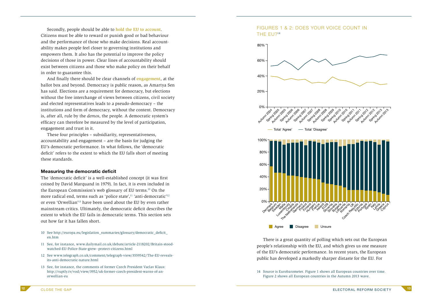Secondly, people should be able to hold the EU to account. Citizens must be able to reward or punish good or bad behaviour and the performance of those who make decisions. Real account ability makes people feel closer to governing institutions and empowers them. It also has the potential to improve the policy decisions of those in power. Clear lines of accountability should exist between citizens and those who make policy on their behalf in order to guarantee this.

And finally there should be clear channels of engagement, at the ballot box and beyond. Democracy is public reason, as Amartya Sen has said. Elections are a requirement for democracy, but elections without the free interchange of views between citizens, civil society and elected representatives leads to a pseudo-democracy – the institutions and form of democracy, without the content. Democracy is, after all, rule by the *demos*, the people. A democratic system's efficacy can therefore be measured by the level of participation, engagement and trust in it.

These four principles – subsidiarity, representativeness, accountability and engagement – are the basis for judging the EU's democratic performance. In what follows, the 'democratic deficit' refers to the extent to which the EU falls short of meeting these standards.

#### Measuring the democratic deficit

The 'democratic deficit' is a well-established concept (it was first coined by David Marquand in 1979). In fact, it is even included in the European Commission's web glossary of EU terms.10 On the more radical end, terms such as 'police state',<sup>11</sup> 'anti-democratic'<sup>12</sup> or even 'Orwellian'13 have been used about the EU by even rather mainstream critics. Ultimately, the democratic deficit describes the extent to which the EU fails in democratic terms. This section sets out how far it has fallen short.

- 10 See http://europa.eu/legislation\_summaries/glossary/democratic\_deficit\_ en.htm
- 11 See, for instance, www.dailymail.co.uk/debate/article-2118202/Britain-stoodwatched-EU-Police-State-grew--protect-citizens.html
- 12 See www.telegraph.co.uk/comment/telegraph-view/3559542/The-EU-revealsits-anti-democratic-nature.html
- 13 See, for instance, the comments of former Czech President Vaclav Klaus: http://ruptly.tv/vod/view/3952/uk-former-czech-president-warns-of-anorwellian-eu

#### FIGURES 1 & 2: DOES YOUR VOICE COUNT IN THE EU?<sup>14</sup>



There is a great quantity of polling which sets out the European people's relationship with the EU, and which gives us one measure of the EU's democratic performance. In recent years, the European public has developed a markedly sharper distaste for the EU. For

14 Source is Eurobarometer. Figure 1 shows all European countries over time. Figure 2 shows all European countries in the Autumn 2013 wave.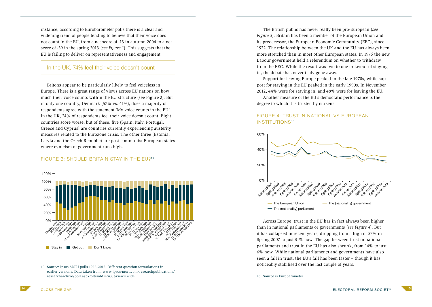instance, according to Eurobarometer polls there is a clear and widening trend of people tending to believe that their voice does not count in the EU, from a net score of -13 in autumn 2004 to a net score of -39 in the spring 2013 (*see Figure 1*). This suggests that the EU is failing to deliver on representativeness and engagement.

### In the UK, 74% feel their voice doesn't count

Britons appear to be particularly likely to feel voiceless in Europe. There is a great range of views across EU nations on how much their voice counts within the EU structure (see Figure 2). But in only one country, Denmark (57% vs. 41%), does a majority of respondents agree with the statement 'My voice counts in the EU'. In the UK, 74% of respondents feel their voice doesn't count. Eight countries score worse, but of these, five (Spain, Italy, Portugal, Greece and Cyprus) are countries currently experiencing austerity measures related to the Eurozone crisis. The other three (Estonia, Latvia and the Czech Republic) are post-communist European states where cynicism of government runs high.

#### FIGURE 3: SHOULD BRITAIN STAY IN THE EU?<sup>15</sup>



<sup>15</sup> Source: Ipsos MORI polls 1977–2012. Different question formulations in earlier versions. Data taken from: www.ipsos-mori.com/researchpublications/ researcharchive/poll.aspx?oItemId=2435&view=wide

The British public has never really been pro-European (*see Figure 3*). Britain has been a member of the European Union and its predecessor, the European Economic Community (EEC), since 1972. The relationship between the UK and the EU has always been more stretched than in most other European states. In 1975 the new Labour government held a referendum on whether to withdraw from the EEC. While the result was two to one in favour of staying in, the debate has never truly gone away.

Support for leaving Europe peaked in the late 1970s, while support for staying in the EU peaked in the early 1990s. In November 2012, 44% were for staying in, and 48% were for leaving the EU.

Another measure of the EU's democratic performance is the degree to which it is trusted by citizens.

#### FIGURE 4: TRUST IN NATIONAL VS EUROPEAN INSTITUTIONS<sup>16</sup>



Across Europe, trust in the EU has in fact always been higher than in national parliaments or governments (*see Figure 4*). But it has collapsed in recent years, dropping from a high of 57% in Spring 2007 to just 31% now. The gap between trust in national parliaments and trust in the EU has also shrunk, from 14% to just 6% now. While national parliaments and governments have also seen a fall in trust, the EU's fall has been faster – though it has noticeably stabilised over the last couple of years.

#### 16 Source is Eurobarometer.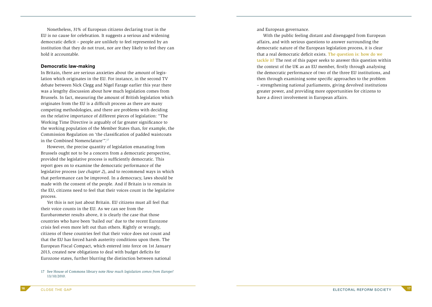Nonetheless, 31% of European citizens declaring trust in the EU is no cause for celebration. It suggests a serious and widening democratic deficit – people are unlikely to feel represented by an institution that they do not trust, nor are they likely to feel they can hold it accountable.

#### Democratic law-making

In Britain, there are serious anxieties about the amount of legislation which originates in the EU. For instance, in the second TV debate between Nick Clegg and Nigel Farage earlier this year there was a lengthy discussion about how much legislation comes from Brussels. In fact, measuring the amount of British legislation which originates from the EU is a difficult process as there are many competing methodologies, and there are problems with deciding on the relative importance of different pieces of legislation: "The Working Time Directive is arguably of far greater significance to the working population of the Member States than, for example, the Commission Regulation on 'the classification of padded waistcoats in the Combined Nomenclature'".17

However, the precise quantity of legislation emanating from Brussels ought not to be a concern from a democratic perspective, provided the legislative process is sufficiently democratic. This report goes on to examine the democratic performance of the legislative process (*see chapter 2*), and to recommend ways in which that performance can be improved. In a democracy, laws should be made with the consent of the people. And if Britain is to remain in the EU, citizens need to feel that their voices count in the legislative process.

Yet this is not just about Britain. EU citizens must all feel that their voice counts in the EU. As we can see from the Eurobarometer results above, it is clearly the case that those countries who have been 'bailed out' due to the recent Eurozone crisis feel even more left out than others. Rightly or wrongly, citizens of these countries feel that their voice does not count and that the EU has forced harsh austerity conditions upon them. The European Fiscal Compact, which entered into force on 1st January 2013, created new obligations to deal with budget deficits for Eurozone states, further blurring the distinction between national and European governance.

With the public feeling distant and disengaged from European affairs, and with serious questions to answer surrounding the democratic nature of the European legislation process, it is clear that a real democratic deficit exists. The question is: how do we tackle it? The rest of this paper seeks to answer this question within the context of the UK as an EU member, firstly through analysing the democratic performance of two of the three EU institutions, and then through examining some specific approaches to the problem – strengthening national parliaments, giving devolved institutions greater power, and providing more opportunities for citizens to have a direct involvement in European affairs.

<sup>17</sup> See House of Commons library note *How much legislation comes from Europe?* 13/10/2010.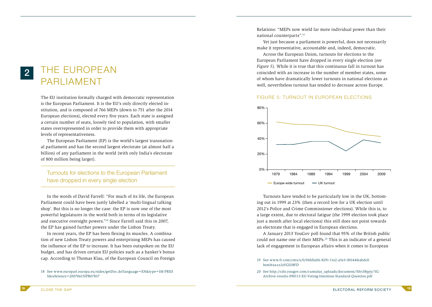# 2

## THE EUROPEAN PARLIAMENT

The EU institution formally charged with democratic representation is the European Parliament. It is the EU's only directly elected institution, and is composed of 766 MEPs (down to 751 after the 2014 European elections), elected every five years. Each state is assigned a certain number of seats, loosely tied to population, with smaller states overrepresented in order to provide them with appropriate levels of representativeness.

The European Parliament (EP) is the world's largest transnational parliament and has the second largest electorate (at almost half a billion) of any parliament in the world (with only India's electorate of 800 million being larger).

### Turnouts for elections to the European Parliament have dropped in every single election

In the words of David Farrell: "For much of its life, the European Parliament could have been justly labelled a 'multi-lingual talking shop'. But this is no longer the case: the EP is now one of the most powerful legislatures in the world both in terms of its legislative and executive oversight powers."18 Since Farrell said this in 2007, the EP has gained further powers under the Lisbon Treaty.

In recent years, the EP has been flexing its muscles. A combination of new Lisbon Treaty powers and enterprising MEPs has caused the influence of the EP to increase. It has been outspoken on the EU budget, and has driven certain EU policies such as a banker's bonus cap. According to Thomas Klau, of the European Council on Foreign Relations: "MEPs now wield far more individual power than their national counterparts".19

Yet just because a parliament is powerful, does not necessarily make it representative, accountable and, indeed, democratic.

Across the European Union, turnouts for elections to the European Parliament have dropped in every single election (*see Figure 5*). While it is true that this continuous fall in turnout has coincided with an increase in the number of member states, some of whom have dramatically lower turnouts in national elections as well, nevertheless turnout has tended to decrease across Europe.

#### FIGURE 5: TURNOUT IN EUROPEAN ELECTIONS



Turnouts have tended to be particularly low in the UK, bottoming out in 1999 at 23% (then a record low for a UK election until 2012's Police and Crime Commissioner elections). While this is, to a large extent, due to electoral fatigue (the 1999 election took place just a month after local elections) this still does not point towards an electorate that is engaged in European elections.

A January 2013 YouGov poll found that 95% of the British public could not name one of their MEPs.20 This is an indicator of a general lack of engagement in European affairs when it comes to European

<sup>18</sup> See www.europarl.europa.eu/sides/getDoc.do?language=EN&type=IM-PRES S&reference=20070615IPR07837

<sup>19</sup> See www.ft.com/cms/s/0/04fdfa06-8291-11e2-a3e3-00144feabdc0. html#axzz2sYGIU8FD

<sup>20</sup> See http://cdn.yougov.com/cumulus\_uploads/document/50ri38jpjy/YG-Archive-results-090113-EU-Voting-Intention-Standard-Question.pdf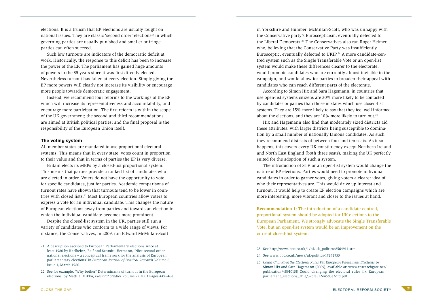elections. It is a truism that EP elections are usually fought on national issues. They are classic 'second order' elections<sup>21</sup> in which governing parties are usually punished and smaller or fringe parties can often succeed.

Such low turnouts are indicators of the democratic deficit at work. Historically, the response to this deficit has been to increase the power of the EP. The parliament has gained huge amounts of powers in the 35 years since it was first directly elected. Nevertheless turnout has fallen at every election. Simply giving the EP more powers will clearly not increase its visibility or encourage more people towards democratic engagement.

Instead, we recommend four reforms to the workings of the EP which will increase its representativeness and accountability, and encourage more participation. The first reform is within the scope of the UK government; the second and third recommendations are aimed at British political parties; and the final proposal is the responsibility of the European Union itself.

#### The voting system

All member states are mandated to use proportional electoral systems. This means that in every state, votes count in proportion to their value and that in terms of parties the EP is very diverse.

Britain elects its MEPs by a closed-list proportional system. This means that parties provide a ranked list of candidates who are elected in order. Voters do not have the opportunity to vote for specific candidates, just for parties. Academic comparisons of turnout rates have shown that turnouts tend to be lower in countries with closed lists.22 Most European countries allow voters to express a vote for an individual candidate. This changes the nature of European elections away from parties and towards an election in which the individual candidate becomes more prominent.

Despite the closed-list system in the UK, parties still run a variety of candidates who conform to a wide range of views. For instance, the Conservatives, in 2009, ran Edward McMillan-Scott

- 21 A description ascribed to European Parliamentary elections since at least 1980 by Karlheinz, Reif and Schmitt, Hermann, 'Nice second-order national elections – a conceptual framework for the analysis of European parliamentary elections' in *European Journal of Political Research* Volume 8, Issue 1, March 1980.
- 22 See for example, 'Why bother? Determinants of turnout in the European elections' by Mattila, Mikko, *Electoral Studies* Volume 22 2003 Pages 449–468.

in Yorkshire and Humber. McMillan-Scott, who was unhappy with the Conservative party's Euroscepticism, eventually defected to the Liberal Democrats.23 The Conservatives also ran Roger Helmer, who, believing that the Conservative Party was insufficiently Eurosceptic, eventually defected to UKIP.24 A more candidate-centred system such as the Single Transferable Vote or an open-list system would make these differences clearer to the electorate, would promote candidates who are currently almost invisible in the campaign, and would allow for parties to broaden their appeal with candidates who can reach different parts of the electorate.

According to Simon Hix and Sara Hagemann, in countries that use open-list systems citizens are 20% more likely to be contacted by candidates or parties than those in states which use closed-list systems. They are 15% more likely to say that they feel well informed about the elections, and they are 10% more likely to turn out.25

Hix and Hagemann also find that moderately sized districts aid these attributes, with larger districts being susceptible to domination by a small number of nationally famous candidates. As such they recommend districts of between four and ten seats. As it so happens, this covers every UK constituency except Northern Ireland and North East England (both three seats), making the UK perfectly suited for the adoption of such a system.

The introduction of STV or an open-list system would change the nature of EP elections. Parties would need to promote individual candidates in order to garner votes, giving voters a clearer idea of who their representatives are. This would drive up interest and turnout. It would help to create EP election campaigns which are more interesting, more vibrant and closer to the issues at hand.

**Recommendation 1:** The introduction of a candidate-centred, proportional system should be adopted for UK elections to the European Parliament. We strongly advocate the Single Transferable Vote, but an open-list system would be an improvement on the current closed-list system.

- 23 See http://news.bbc.co.uk/1/hi/uk\_politics/8564914.stm
- 24 See www.bbc.co.uk/news/uk-politics-17242953
- 25 *Could Changing the Electoral Rules Fix European Parliament Elections* by Simon Hix and Sara Hagemann (2009), available at: www.researchgate.net/ publication/48910138\_Could\_changing\_the\_electoral\_rules\_fix\_European\_ parliament\_elections\_/file/32bfe512e4585e2dfd.pdf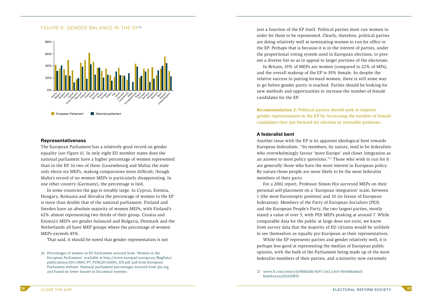#### FIGURE 6: GENDER BALANCE IN THE EP<sup>26</sup>



#### Representativeness

The European Parliament has a relatively good record on gender equality (*see Figure 6*). In only eight EU member states does the national parliament have a higher percentage of women represented than in the EP. In two of these (Luxembourg and Malta) the state only elects six MEPs, making comparisons more difficult, though Malta's record of no women MEPs is particularly disappointing. In one other country (Germany), the percentage is tied.

In some countries the gap is notably large. In Cyprus, Estonia, Hungary, Romania and Slovakia the percentage of women in the EP is more than double that of the national parliament. Finland and Sweden have an absolute majority of women MEPs, with Finland's 62% almost representing two thirds of their group. Croatia and Estonia's MEPs are gender balanced and Bulgaria, Denmark and the Netherlands all have MEP groups where the percentage of women MEPs exceeds 45%.

That said, it should be noted that gender representation is not

just a function of the EP itself. Political parties must run women in order for them to be represented. Clearly, therefore, political parties are doing relatively well at nominating women to run for office in the EP. Perhaps that is because it is in the interest of parties, under the proportional voting system used in European elections, to present a diverse list so as to appeal to larger portions of the electorate.

In Britain, 33% of MEPs are women (compared to 22% of MPs), and the overall makeup of the EP is 35% female. So despite the relative success in putting forward women, there is still some way to go before gender parity is reached. Parties should be looking for new methods and opportunities to increase the number of female candidates for the EP.

**Recommendation 2:** Political parties should seek to improve gender representation in the EP by increasing the number of female candidates they put forward for election in winnable positions.

#### A federalist bent

Another issue with the EP is its apparent ideological bent towards European federalism. "Its members, by nature, tend to be federalists who overwhelmingly favour 'more Europe' and closer integration as an answer to most policy questions."27 Those who wish to run for it are generally those who have the most interest in European policy. By nature those people are more likely to be the most federalist members of their party.

For a 2002 report, Professor Simon Hix surveyed MEPs on their personal self-placement on a 'European integration' scale, between 1 (the most Eurosceptic position) and 10 (in favour of European federation). Members of the Party of European Socialists (PES) and the European People's Party, the two largest parties, mostly stated a value of over 5, with PES MEPs peaking at around 7. While comparable data for the public at large does not exist, we know from survey data that the majority of EU citizens would be unlikely to see themselves as equally pro-European as their representatives.

While the EP represents parties and gender relatively well, it is perhaps less good at representing the median of European public opinion, with the bulk of the Parliament being made up of the most federalist members of their parties, and a minority now extremely

27 www.ft.com/cms/s/0/04fdfa06-8291-11e2-a3e3-00144feabdc0. html#axzz2sYGIU8FD

<sup>26</sup> Percentages of women in EU Parliament sourced from 'Women in the European Parliament' available at http://www.europarl.europa.eu/RegData/ publications/2011/0001/P7\_PUB(2011)0001\_EN.pdf and from European Parliament website. National parliament percentages sourced from ipu.org and based on lower houses in bicameral systems.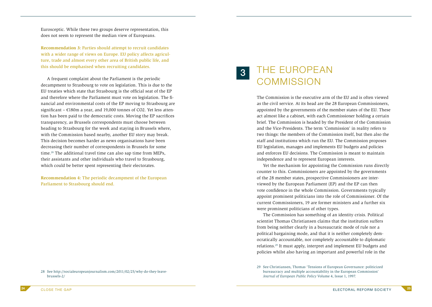Eurosceptic. While these two groups deserve representation, this does not seem to represent the median view of Europeans.

**Recommendation 3:** Parties should attempt to recruit candidates with a wider range of views on Europe. EU policy affects agriculture, trade and almost every other area of British public life, and this should be emphasised when recruiting candidates.

A frequent complaint about the Parliament is the periodic decampment to Strasbourg to vote on legislation. This is due to the EU treaties which state that Strasbourg is the official seat of the EP and therefore where the Parliament must vote on legislation. The financial and environmental costs of the EP moving to Strasbourg are significant –  $E180m$  a year, and 19,000 tonnes of CO2. Yet less attention has been paid to the democratic costs. Moving the EP sacrifices transparency, as Brussels correspondents must choose between heading to Strasbourg for the week and staying in Brussels where, with the Commission based nearby, another EU story may break. This decision becomes harder as news organisations have been decreasing their number of correspondents in Brussels for some time.28 The additional travel time can also sap time from MEPs, their assistants and other individuals who travel to Strasbourg, which could be better spent representing their electorates.

**Recommendation 4:** The periodic decampment of the European Parliament to Strasbourg should end.

28 See http://socialeuropeanjournalism.com/2011/02/25/why-do-they-leavebrussels-2/

### THE EUROPEAN **COMMISSION** 3

The Commission is the executive arm of the EU and is often viewed as the civil service. At its head are the 28 European Commissioners, appointed by the governments of the member states of the EU. These act almost like a cabinet, with each Commissioner holding a certain brief. The Commission is headed by the President of the Commission and the Vice-Presidents. The term 'Commission' in reality refers to two things: the members of the Commission itself, but then also the staff and institutions which run the EU. The Commission proposes EU legislation, manages and implements EU budgets and policies and enforces EU decisions. The Commission is meant to maintain independence and to represent European interests.

Yet the mechanism for appointing the Commission runs directly counter to this. Commissioners are appointed by the governments of the 28 member states, prospective Commissioners are interviewed by the European Parliament (EP) and the EP can then vote confidence in the whole Commission. Governments typically appoint prominent politicians into the role of Commissioner. Of the current Commissioners, 19 are former ministers and a further six were prominent politicians of other types.

The Commission has something of an identity crisis. Political scientist Thomas Christiansen claims that the institution suffers from being neither clearly in a bureaucratic mode of rule nor a political bargaining mode, and that it is neither completely democratically accountable, nor completely accountable to diplomatic relations.29 It must apply, interpret and implement EU budgets and policies whilst also having an important and powerful role in the

<sup>29</sup> See Christiansen, Thomas 'Tensions of European Governance: politicized bureaucracy and multiple accountability in the European Commission' *Journal of European Public Policy* Volume 4, Issue 1, 1997.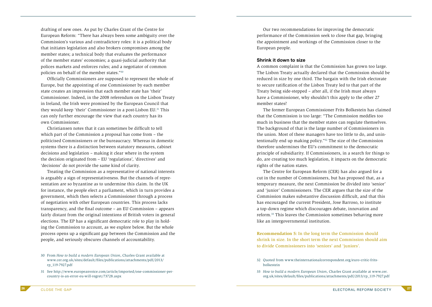drafting of new ones. As put by Charles Grant of the Centre for European Reform: "There has always been some ambiguity over the Commission's various and contradictory roles: it is a political body that initiates legislation and also brokers compromises among the member states; a technical body that evaluates the performance of the member states' economies; a quasi-judicial authority that polices markets and enforces rules; and a negotiator of common policies on behalf of the member states."30

Officially Commissioners are supposed to represent the whole of Europe, but the appointing of one Commissioner by each member state creates an impression that each member state has 'their' Commissioner. Indeed, in the 2008 referendum on the Lisbon Treaty in Ireland, the Irish were promised by the European Council that they would keep 'their' Commissioner in a post-Lisbon EU.31 This can only further encourage the view that each country has its own Commissioner.

Christiansen notes that it can sometimes be difficult to tell which part of the Commission a proposal has come from – the politicised Commissioners or the bureaucracy. Whereas in domestic systems there is a distinction between statutory measures, cabinet decisions and legislation – making it clear where in the system the decision originated from – EU 'regulations', 'directives' and 'decisions' do not provide the same kind of clarity.

Treating the Commission as a representative of national interests is arguably a sign of representativeness. But the channels of representation are so byzantine as to undermine this claim. In the UK for instance, the people elect a parliament, which in turn provides a government, which then selects a Commissioner through a process of negotiation with other European countries. This process lacks transparency, and the final outcome – an EU Commission – appears fairly distant from the original intentions of British voters in general elections. The EP has a significant democratic role to play in holding the Commission to account, as we explore below. But the whole process opens up a significant gap between the Commission and the people, and seriously obscures channels of accountability.

Our two recommendations for improving the democratic performance of the Commission seek to close that gap, bringing the appointment and workings of the Commission closer to the European people.

#### Shrink it down to size

A common complaint is that the Commission has grown too large. The Lisbon Treaty actually declared that the Commission should be reduced in size by one third. The bargain with the Irish electorate to secure ratification of the Lisbon Treaty led to that part of the Treaty being side-stepped – after all, if the Irish must always have a Commissioner, why shouldn't this apply to the other 27 member states?

The former European Commissioner Frits Bolkestein has claimed that the Commission is too large: "The Commission meddles too much in business that the member states can regulate themselves. The background of that is the large number of Commissioners in the union. Most of these managers have too little to do, and unintentionally end up making policy."32 The size of the Commission therefore undermines the EU's commitment to the democratic principle of subsidiarity. If Commissioners, in a search for things to do, are creating too much legislation, it impacts on the democratic rights of the nation states.

The Centre for European Reform (CER) has also argued for a cut in the number of Commissioners, but has proposed that, as a temporary measure, the next Commission be divided into 'senior' and 'junior' Commissioners. The CER argues that the size of the Commission makes substantive discussion difficult, and that this has encouraged the current President, Jose Barroso, to institute a top-down regime which discourages debate, innovation and reform.33 This leaves the Commission sometimes behaving more like an intergovernmental institution.

**Recommendation 5:** In the long term the Commission should shrink in size. In the short term the next Commission should aim to divide Commissioners into 'seniors' and 'juniors'.

33 *How to build a modern European Union*, Charles Grant available at www.cer. org.uk/sites/default/files/publications/attachments/pdf/2013/rp\_119-7927.pdf

<sup>30</sup> From *How to build a modern European Union*, Charles Grant available at www.cer.org.uk/sites/default/files/publications/attachments/pdf/2013/ rp\_119-7927.pdf

<sup>31</sup> See http://www.europeanvoice.com/article/imported/one-commissioner-percountry-is-an-error-eu-will-regret/73728.aspx

<sup>32</sup> Quoted from www.theinternationalcorrespondent.org/euro-critic-fritsbolkestein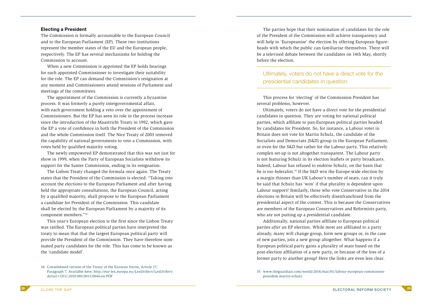#### Electing a President

The Commission is formally accountable to the European Council and to the European Parliament (EP). These two institutions represent the member states of the EU and the European people, respectively. The EP has several mechanisms for holding the Commission to account.

When a new Commission is appointed the EP holds hearings for each appointed Commissioner to investigate their suitability for the role. The EP can demand the Commission's resignation at any moment and Commissioners attend sessions of Parliament and meetings of the committees.

The appointment of the Commission is currently a byzantine process. It was formerly a purely intergovernmental affair, with each government holding a veto over the appointment of Commissioners. But the EP has seen its role in the process increase since the introduction of the Maastricht Treaty in 1992, which gave the EP a vote of confidence in both the President of the Commission and the whole Commission itself. The Nice Treaty of 2003 removed the capability of national governments to veto a Commission, with votes held by qualified majority voting.

The newly empowered EP demonstrated that this was not just for show in 1999, when the Party of European Socialists withdrew its support for the Santer Commission, ending in its resignation.

The Lisbon Treaty changed the formula once again. The Treaty states that the President of the Commission is elected: "Taking into account the elections to the European Parliament and after having held the appropriate consultations, the European Council, acting by a qualified majority, shall propose to the European Parliament a candidate for President of the Commission. This candidate shall be elected by the European Parliament by a majority of its component members."34

This year's European election is the first since the Lisbon Treaty was ratified. The European political parties have interpreted the treaty to mean that that the largest European political party will provide the President of the Commission. They have therefore nominated party candidates for the role. This has come to be known as the 'candidate model'.

The parties hope that their nomination of candidates for the role of the President of the Commission will achieve transparency and will help to 'Europeanise' the election by offering European figureheads with which the public can familiarise themselves. There will be a televised debate between the candidates on 14th May, shortly before the election.

Ultimately, voters do not have a direct vote for the presidential candidates in question

This process for 'electing' of the Commission President has several problems, however.

Ultimately, voters do not have a direct vote for the presidential candidates in question. They are voting for national political parties, which affiliate to pan-European political parties headed by candidates for President. So, for instance, a Labour voter in Britain does not vote for Martin Schulz, the candidate of the Socialists and Democrats (S&D) group in the European Parliament, or even for the S&D but rather for the Labour party. This relatively complex set-up is not altogether transparent. The Labour party is not featuring Schulz in its election leaflets or party broadcasts. Indeed, Labour has refused to endorse Schulz, on the basis that he is too federalist.35 If the S&D win the Europe-wide election by a margin thinner than UK Labour's number of seats, can it truly be said that Schulz has 'won' if that plurality is dependent upon Labour support? Similarly, those who vote Conservative in the 2014 elections in Britain will be effectively disenfranchised from the presidential aspect of the contest. This is because the Conservatives are members of the European Conservatives and Reformists party, who are not putting up a presidential candidate.

Additionally, national parties affiliate to European political parties *after* an EP election. While most are affiliated to a party already, many will change group, form new groups or, in the case of new parties, join a new group altogether. What happens if a European political party gains a plurality of seats based on the post-election affiliation of a new party, or because of the loss of a former party to another group? Here the links are even less clear.

<sup>34</sup> Consolidated version of the Treaty of the Euroean Union, Article 17, Paragraph 7. Available here: http://eur-lex.europa.eu/LexUriServ/LexUriServ. do?uri=OJ:C:2010:083:0013:0046:en:PDF

<sup>35</sup> www.theguardian.com/world/2014/mar/01/labour-european-commissionpresident-martin-schulz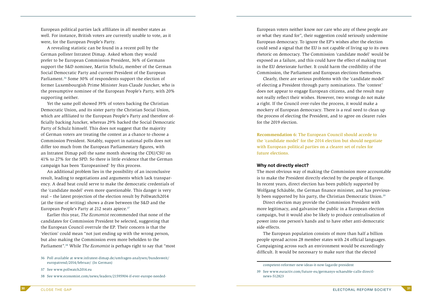European political parties lack affiliates in all member states as well. For instance, British voters are currently unable to vote, as it were, for the European People's Party.

A revealing statistic can be found in a recent poll by the German pollster Intratest Dimap. Asked whom they would prefer to be European Commission President, 36% of Germans support the S&D nominee, Martin Schulz, member of the German Social Democratic Party and current President of the European Parliament.<sup>36</sup> Some 30% of respondents support the election of former Luxembourgish Prime Minister Jean-Claude Juncker, who is the presumptive nominee of the European People's Party, with 20% supporting neither.

Yet the same poll showed 39% of voters backing the Christian Democratic Union, and its sister party the Christian Social Union, which are affiliated to the European People's Party and therefore officially backing Juncker, whereas 29% backed the Social Democratic Party of Schulz himself. This does not suggest that the majority of German voters are treating the contest as a chance to choose a Commission President. Notably, support in national polls does not differ too much from the European Parliamentary figures, with an Intratest Dimap poll the same month showing the CDU/CSU on 41% to 27% for the SPD. So there is little evidence that the German campaign has been 'Europeanised' by this process.

An additional problem lies in the possibility of an inconclusive result, leading to negotiations and arguments which lack transparency. A dead heat could serve to make the democratic credentials of the 'candidate model' even more questionable. This danger is very real – the latest projection of the election result by Pollwatch2014 (at the time of writing) shows a draw between the S&D and the European People's Party at 212 seats apiece.<sup>37</sup>

Earlier this year, *The Economist* recommended that none of the candidates for Commission President be selected, suggesting that the European Council overrule the EP. Their concern is that the 'election' could mean "not just ending up with the wrong person, but also making the Commission even more beholden to the Parliament".38 While *The Economist* is perhaps right to say that "most

- 36 Poll available at www.infratest-dimap.de/umfragen-analysen/bundesweit/ europatrend/2014/februar/ (In German)
- 37 See www.pollwatch2014.eu
- 38 See www.economist.com/news/leaders/21595904-if-ever-europe-needed-

European voters neither know nor care who any of these people are or what they stand for", their suggestion could seriously undermine European democracy. To ignore the EP's wishes after the election could send a signal that the EU is not capable of living up to its own rhetoric on democracy. The Commission 'candidate model' would be exposed as a failure, and this could have the effect of making trust in the EU deteriorate further. It could harm the credibility of the Commission, the Parliament and European elections themselves.

Clearly, there are serious problems with the 'candidate model' of electing a President through party nominations. The 'contest' does not appear to engage European citizens, and the result may not really reflect their wishes. However, two wrongs do not make a right. If the Council over-rules the process, it would make a mockery of European democracy. There is a real need to clean up the process of electing the President, and to agree on clearer rules for the 2019 election.

**Recommendation 6:** The European Council should accede to the 'candidate model' for the 2014 election but should negotiate with European political parties on a clearer set of rules for future elections.

#### Why not directly elect?

The most obvious way of making the Commission more accountable is to make the President directly elected by the people of Europe. In recent years, direct election has been publicly supported by Wolfgang Schäuble, the German finance minister, and has previously been supported by his party, the Christian Democratic Union.<sup>39</sup>

Direct election may provide the Commission President with more legitimacy, and galvanise the public in a European election campaign, but it would also be likely to produce centralisation of power into one person's hands and to have other anti-democratic side-effects.

The European population consists of more than half a billion people spread across 28 member states with 24 official languages. Campaigning across such an environment would be exceedingly difficult. It would be necessary to make sure that the elected

competent-reformer-new-ideas-it-now-lagarde-president

<sup>39</sup> See www.euractiv.com/future-eu/germanys-schaeuble-calls-directlnews-512823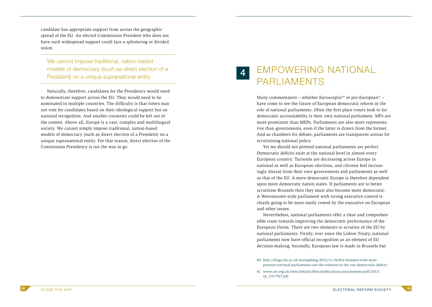candidate has appropriate support from across the geographic spread of the EU. An elected Commission President who does not have such widespread support could face a splintering or divided union.

We cannot impose traditional, nation-based models of democracy (such as direct election of a President) on a unique supranational entity

Naturally, therefore, candidates for the Presidency would need to demonstrate support across the EU. They would need to be nominated in multiple countries. The difficulty is that voters may not vote for candidates based on their ideological support but on national recognition. And smaller countries could be left out of the contest. Above all, Europe is a vast, complex and multilingual society. We cannot simply impose traditional, nation-based models of democracy (such as direct election of a President) on a unique supranational entity. For that reason, direct election of the Commission Presidency is not the way to go.

## EMPOWERING NATIONAL PARLIAMENTS 4

Many commentators – whether Eurosceptic<sup>40</sup> or pro-European<sup>41</sup> – have come to see the future of European democratic reform in the role of national parliaments. Often the first place voters look to for democratic accountability is their own national parliament. MPs are more prominent than MEPs. Parliaments are also more representative than governments, even if the latter is drawn from the former. And as chambers for debate, parliaments are transparent arenas for scrutinising national policy.

Yet we should not pretend national parliaments are perfect. Democratic deficits exist at the national level in almost every European country. Turnouts are decreasing across Europe in national as well as European elections, and citizens feel increasingly distant from their own governments and parliaments as well as that of the EU. A more democratic Europe is therefore dependent upon more democratic nation states. If parliaments are to better scrutinise Brussels then they must also become more democratic. A Westminster-style parliament with strong executive control is clearly going to be more easily cowed by the executive on European and other issues.

Nevertheless, national parliaments offer a clear and comprehensible route towards improving the democratic performance of the European Union. There are two elements to scrutiny of the EU by national parliaments. Firstly, ever since the Lisbon Treaty, national parliaments now have official recognition as an element of EU decision-making. Secondly, European law is made in Brussels but

<sup>40</sup> http://blogs.lse.ac.uk/europpblog/2013/11/18/five-minutes-with-matspersson-national-parliaments-are-the-solution-to-the-eus-democratic-deficit/

<sup>41</sup> www.cer.org.uk/sites/default/files/publications/attachments/pdf/2013/ rp\_119-7927.pdf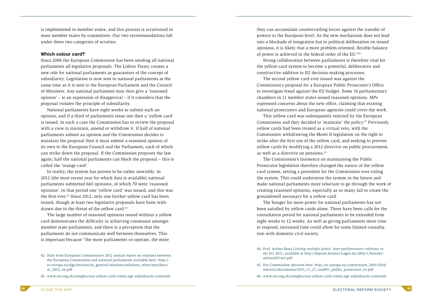is implemented in member states, and this process is scrutinised in most member states by committees. Our two recommendations fall under these two categories of scrutiny.

#### Which colour card?

Since 2006 the European Commission has been sending all national parliaments all legislative proposals. The Lisbon Treaty creates a new role for national parliaments as guarantors of the concept of subsidiarity. Legislation is now sent to national parliaments at the same time as it is sent to the European Parliament and the Council of Ministers. Any national parliament may then give a 'reasoned opinion' – ie an expression of disapproval – if it considers that the proposal violates the principle of subsidiarity.

National parliaments have eight weeks to submit such an opinion, and if a third of parliaments issue one then a 'yellow card' is issued. In such a case the Commission has to review the proposal with a view to maintain, amend or withdraw it. If half of national parliaments submit an opinion and the Commission decides to maintain the proposal then it must submit a reasoned opinion of its own to the European Council and the Parliament, each of which can strike down the proposal. If the Commission proposes the law again, half the national parliaments can block the proposal – this is called the 'orange card'.

In reality, the system has proven to be rather unwieldy. In 2012 (the most recent year for which data is available) national parliaments submitted 663 opinions, of which 70 were 'reasoned opinions'. In that period one 'yellow card' was issued, and this was the first ever.<sup>42</sup> Since 2012, only one further yellow card has been issued, though at least two legislative proposals have been withdrawn due to the threat of the yellow card.<sup>43</sup>

The large number of reasoned opinions issued without a yellow card demonstrates the difficulty in achieving consensus amongst member state parliaments, and there is a perception that the parliaments do not communicate well between themselves. This is important because "the more parliaments co-operate, the more

they can accumulate countervailing forces against the transfer of powers to the European level. As the new mechanism does not lead into a blockade of integration but in political deliberation on issued opinions, it is likely that a more problem-oriented, flexible balance of power is achieved in the federal order of the EU."44

Strong collaboration between parliaments is therefore vital for the yellow card system to become a powerful, deliberative and constructive addition to EU decision-making processes.

The second yellow card ever issued was against the Commission's proposal for a European Public Prosecutor's Office to investigate fraud against the EU budget. Some 14 parliamentary chambers in 11 member states issued reasoned opinions. MPs expressed concerns about the new office, claiming that existing national prosecutors and European agencies could cover the work.

This yellow card was subsequently rejected by the European Commission and they decided to 'maintain' the policy.45 Previously yellow cards had been treated as a virtual veto, with the Commission withdrawing the Monti II legislation on the right to strike after the first use of the yellow card, and seeking to prevent yellow cards by modifying a 2012 directive on public procurement, as well as a directive on pensions.46

The Commission's insistence on maintaining the Public Prosecutor legislation therefore changed the nature of the yellow card system, setting a precedent for the Commission over-ruling the system. This could undermine the system in the future and make national parliaments more reluctant to go through the work of creating reasoned opinions, especially as so many fail to create the groundswell necessary for a yellow card.

The hunger for more power for national parliaments has not been satisfied by yellow cards alone. There have been calls for the consultation period for national parliaments to be extended from eight weeks to 12 weeks. As well as giving parliaments more time to respond, increased time could allow for some limited consultation with domestic civil society.

- 44 Prof. Arthur Benz *Linking multiple demoi. Inter-parliamentary relations in the EU*, 2011, available at http://deposit.fernuni-hagen.de/2856/1/benzievonline2011nr1.pdf
- 45 See Commission decision here: http://ec.europa.eu/commission\_2010-2014/ sefcovic/documents/2013\_11\_27\_com851\_public\_prosecutor\_en.pdf
- 46 www.cer.org.uk/insights/eus-yellow-card-comes-age-subsidiarity-unbound

<sup>42</sup> Stats from European Commission's 2012 annual report on relations between the European Commission and national parliaments available here: http:// ec.europa.eu/dgs/secretariat\_general/relations/relations\_other/npo/docs/ ar\_2012\_en.pdf

<sup>43</sup> www.cer.org.uk/insights/eus-yellow-card-comes-age-subsidiarity-unbound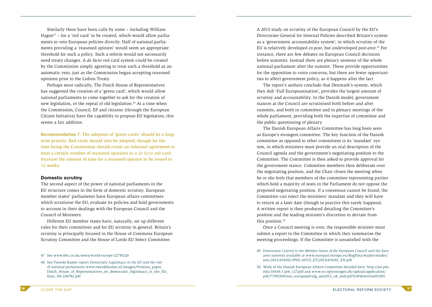Similarly there have been calls by some – including William Hague47 – for a 'red card' to be created, which would allow parliaments to veto European policies directly. Half of national parliaments providing a 'reasoned opinion' would seem an appropriate threshold for such a policy. Such a reform would not necessarily need treaty changes. A *de facto* red card system could be created by the Commission simply agreeing to treat such a threshold as an automatic veto, just as the Commission began accepting reasoned opinions prior to the Lisbon Treaty.

Perhaps most radically, The Dutch House of Representatives has suggested the creation of a 'green card', which would allow national parliaments to come together to ask for the creation of new legislation, or the repeal of old legislation.<sup>48</sup> At a time when the Commission, Council, EP and citizens (through the European Citizen Initiative) have the capability to propose EU legislation, this seems a fair addition.

**Recommendation 7:** The adoption of 'green cards' should be a longterm priority. Red cards should also be adopted, though for the time being the Commission should create an informal agreement to treat a certain number of reasoned opinions as a *de facto* red card. Increase the amount of time for a reasoned opinion to be issued to 12 weeks.

#### Domestic scrutiny

The second aspect of the power of national parliaments in the EU structure comes in the form of domestic scrutiny. European member states' parliaments have European affairs committees which scrutinise the EU, evaluate its policies and hold governments to account in their dealings with the European Council and the Council of Ministers.

Different EU member states have, naturally, set up different rules for their committees and for EU scrutiny in general. Britain's scrutiny is principally focused in the House of Commons European Scrutiny Committee and the House of Lords EU Select Committee.

48 See Tweede Kamer report *Democratic Legitimacy in the EU and the role of national parliaments* www.tweedekamer.nl/images/Position\_paper\_ Dutch\_House\_of\_Representatives\_on\_democratic\_legitimacy\_in\_the\_EU\_ final\_181-236782.pdf

A 2013 study on scrutiny of the European Council by the EU's Directorate-General for Internal Policies described Britain's system as a 'government accountability system', in which scrutiny of the EU is relatively developed *ex-post*, but undeveloped *post-ante.*49 For instance, there are few debates on European Council decisions before summits. Instead there are plenary sessions of the whole national parliament after the summit. These provide opportunities for the opposition to voice concerns, but there are fewer opportunities to affect government policy, as it happens after the fact.

The report's authors conclude that Denmark's system, which they dub 'Full Europeanisation', provides the largest amount of scrutiny and accountability. In the Danish model, government stances at the Council are scrutinised both before and after summits, and both in committee and in plenary meetings of the whole parliament, providing both the expertise of committee and the public questioning of plenary.

The Danish European Affairs Committee has long been seen as Europe's strongest committee. The key function of the Danish committee as opposed to other committees is its 'mandate' system, in which ministers must provide an oral description of the Council agenda and the government's negotiating position to the Committee. The Committee is then asked to provide approval for the government stance. Committee members then deliberate over the negotiating position, and the Chair closes the meeting when he or she feels that members of the committee representing parties which hold a majority of seats in the Parliament do not oppose the proposed negotiating position. If a consensus cannot be found, the Committee can reject the ministers' mandate and they will have to return at a later date (though in practice this rarely happens). A written report is then produced detailing the Committee's position and the leading minister's discretion to deviate from this position.<sup>50</sup>

Once a Council meeting is over, the responsible minister must submit a report to the Committee in which they summarise the meeting proceedings. If the Committee is unsatisfied with the

- 49 *Democratic Control in the Member States of the European Council and the Euro zone summits* available at www.europarl.europa.eu/RegData/etudes/etudes/ join/2013/474392/IPOL-AFCO\_ET(2013)474392\_EN.pdf
- 50 Work of the Danish European Affairs Committee detailed here: http://aei.pitt. edu/33634/1/pw\_127.pdf and www.eu-oplysningen.dk/upload/application/ pdf/77305369/euo\_europaudvalg\_jan2012\_uk\_web.pdf%3Fdownload%3D1

<sup>47</sup> See www.bbc.co.uk/news/world-europe-22730226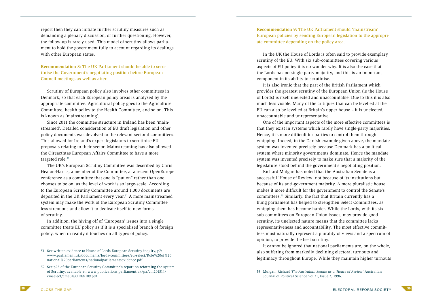report then they can initiate further scrutiny measures such as demanding a plenary discussion, or further questioning. However, the follow-up is rarely used. This model of scrutiny allows parliament to hold the government fully to account regarding its dealings with other European states.

**Recommendation 8:** The UK Parliament should be able to scrutinise the Government's negotiating position before European Council meetings as well as after.

Scrutiny of European policy also involves other committees in Denmark, so that each European policy areas is analysed by the appropriate committee. Agricultural policy goes to the Agriculture Committee, health policy to the Health Committee, and so on. This is known as 'mainstreaming'.

Since 2011 the committee structure in Ireland has been 'mainstreamed'. Detailed consideration of EU draft legislation and other policy documents was devolved to the relevant sectoral committees. This allowed for Ireland's expert legislators to scrutinise EU proposals relating to their sector. Mainstreaming has also allowed the Oireacthtas European Affairs Committee to have a more targeted role.<sup>51</sup>

The UK's European Scrutiny Committee was described by Chris Heaton-Harris, a member of the Committee, at a recent OpenEurope conference as a committee that one is "put on" rather than one chooses to be on, as the level of work is so large-scale. According to the European Scrutiny Committee around 1,000 documents are deposited in the UK Parliament every year.52 A more mainstreamed system may make the work of the European Scrutiny Committee less strenuous and allow it to dedicate itself to new forms of scrutiny.

In addition, the hiving off of 'European' issues into a single committee treats EU policy as if it is a specialised branch of foreign policy, when in reality it touches on all types of policy.

**Recommendation 9:** The UK Parliament should 'mainstream' European policies by sending European legislation to the appropriate committee depending on the policy area.

In the UK the House of Lords is often said to provide exemplary scrutiny of the EU. With six sub-committees covering various aspects of EU policy it is no wonder why. It is also the case that the Lords has no single-party majority, and this is an important component in its ability to scrutinise.

It is also ironic that the part of the British Parliament which provides the greatest scrutiny of the European Union (ie the House of Lords) is itself unelected and unaccountable. Due to this it is also much less visible. Many of the critiques that can be levelled at the EU can also be levelled at Britain's upper house – it is unelected, unaccountable and unrepresentative.

One of the important aspects of the more effective committees is that they exist in systems which rarely have single-party majorities. Hence, it is more difficult for parties to control them through whipping. Indeed, in the Danish example given above, the mandate system was invented precisely because Denmark has a political system where minority governments dominate. Hence the mandate system was invented precisely to make sure that a majority of the legislature stood behind the government's negotiating position.

Richard Mulgan has noted that the Australian Senate is a successful 'House of Review' not because of its institutions but because of its anti-government majority. A more pluralistic house makes it more difficult for the government to control the Senate's committees.53 Similarly, the fact that Britain currently has a hung parliament has helped to strengthen Select Committees, as whipping them has become harder. While the Lords, with its six sub-committees on European Union issues, may provide good scrutiny, its unelected nature means that the committee lacks representativeness and accountability. The most effective committees must naturally represent a plurality of views and a spectrum of opinion, to provide the best scrutiny.

It cannot be ignored that national parliaments are, on the whole, also suffering from markedly declining electoral turnouts and legitimacy throughout Europe. While they maintain higher turnouts

<sup>51</sup> See written evidence to House of Lords European Scrutiny inquiry, p7: www.parliament.uk/documents/lords-committees/eu-select/Role%20of%20 national%20parliaments/nationalparliamentsevidence.pdf

<sup>52</sup> See p23 of the European Scrutiny Committee's report on reforming the system of Scrutiny, available at: www.publications.parliament.uk/pa/cm201314/ cmselect/cmeuleg/109/109.pdf

<sup>53</sup> Mulgan, Richard *The Australian Senate as a 'House of Review'* Australian Journal of Political Science Vol 31, Issue 2, 1996.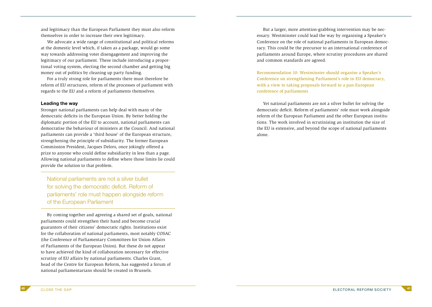and legitimacy than the European Parliament they must also reform themselves in order to increase their own legitimacy.

We advocate a wide range of constitutional and political reforms at the domestic level which, if taken as a package, would go some way towards addressing voter disengagement and improving the legitimacy of our parliament. These include introducing a proportional voting system, electing the second chamber and getting big money out of politics by cleaning up party funding.

For a truly strong role for parliaments there must therefore be reform of EU structures, reform of the processes of parliament with regards to the EU and a reform of parliaments themselves.

#### Leading the way

Stronger national parliaments can help deal with many of the democratic deficits in the European Union. By better holding the diplomatic portion of the EU to account, national parliaments can democratise the behaviour of ministers at the Council. And national parliaments can provide a 'third house' of the European structure, strengthening the principle of subsidiarity. The former European Commission President, Jacques Delors, once jokingly offered a prize to anyone who could define subsidiarity in less than a page. Allowing national parliaments to define where those limits lie could provide the solution to that problem.

National parliaments are not a silver bullet for solving the democratic deficit. Reform of parliaments' role must happen alongside reform of the European Parliament

By coming together and agreeing a shared set of goals, national parliaments could strengthen their hand and become crucial guarantors of their citizens' democratic rights. Institutions exist for the collaboration of national parliaments, most notably COSAC (the Conference of Parliamentary Committees for Union Affairs of Parliaments of the European Union). But these do not appear to have achieved the kind of collaboration necessary for effective scrutiny of EU affairs by national parliaments. Charles Grant, head of the Centre for European Reform, has suggested a forum of national parliamentarians should be created in Brussels.

But a larger, more attention-grabbing intervention may be necessary. Westminster could lead the way by organising a Speaker's Conference on the role of national parliaments in European democracy. This could be the precursor to an international conference of parliaments around Europe, where scrutiny procedures are shared and common standards are agreed.

Recommendation 10: Westminster should organise a Speaker's Conference on strengthening Parliament's role in EU democracy, with a view to taking proposals forward to a pan-European conference of parliaments

Yet national parliaments are not a silver bullet for solving the democratic deficit. Reform of parliaments' role must work alongside reform of the European Parliament and the other European institutions. The work involved in scrutinising an institution the size of the EU is extensive, and beyond the scope of national parliaments alone.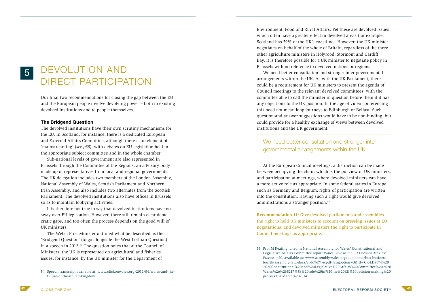# 5

## DEVOLUTION AND DIRECT PARTICIPATION

Our final two recommendations for closing the gap between the EU and the European people involve devolving power – both to existing devolved institutions and to people themselves.

#### The Bridgend Question

The devolved institutions have their own scrutiny mechanisms for the EU. In Scotland, for instance, there is a dedicated European and External Affairs Committee, although there is an element of 'mainstreaming' (*see p38*), with debates on EU legislation held in the appropriate subject committee and in the whole chamber.

Sub-national levels of government are also represented in Brussels through the Committee of the Regions, an advisory body made up of representatives from local and regional governments. The UK delegation includes two members of the London Assembly, National Assembly of Wales, Scottish Parliament and Northern Irish Assembly, and also includes two alternates from the Scottish Parliament. The devolved institutions also have offices in Brussels so as to maintain lobbying activities.

It is therefore not true to say that devolved institutions have no sway over EU legislation. However, there still remain clear democratic gaps, and too often the process depends on the good will of UK ministers.

The Welsh First Minister outlined what he described as the 'Bridgend Question' (to go alongside the West Lothian Question) in a speech in 2012.<sup>54</sup> The question notes that at the Council of Ministers, the UK is represented on agricultural and fisheries issues, for instance, by the UK minister for the Department of

Environment, Food and Rural Affairs. Yet these are devolved issues which often have a greater effect in devolved areas (for example, Scotland has 59% of the UK's coastline). However, the UK minister negotiates on behalf of the whole of Britain, regardless of the three other agriculture ministers in Holyrood, Stormont and Cardiff Bay. It is therefore possible for a UK minister to negotiate policy in Brussels with no reference to devolved nations or regions.

We need better consultation and stronger inter-governmental arrangements within the UK. As with the UK Parliament, there could be a requirement for UK ministers to present the agenda of Council meetings to the relevant devolved committees, with the committee able to call the minister in question before them if it has any objections to the UK position. In the age of video conferencing this need not mean long journeys to Edinburgh or Belfast. Such question-and-answer suggestions would have to be non-binding, but could provide for a healthy exchange of views between devolved institutions and the UK government.

We need better consultation and stronger intergovernmental arrangements within the UK

At the European Council meetings, a distinction can be made between occupying the chair, which is the purview of UK ministers, and participation at meetings, where devolved ministers can have a more active role as appropriate. In some federal states in Europe, such as Germany and Belgium, rights of participation are written into the constitution. Having such a right would give devolved administrations a stronger position.<sup>55</sup>

**Recommendation 11:** Give devolved parliaments and assemblies the right to hold UK ministers to account on pressing issues at EU negotiations, and devolved ministers the right to participate in Council meetings as appropriate.

55 Prof M Keating, cited in National Assembly for Wales' Constitutional and Legislative Affairs Committee report *Wales' Role in the EU Decision-Making Process*, p20, available at: www.assemblywales.org/bus-home/bus-businessfourth-assembly-laid-docs/cr-ld9674-e.pdf?langoption=3&ttl=CR-LD9674%20 -%20Constitutional%20and%20Legislative%20Affairs%20Committee%20-%20 Wales%26%238217%3B%20role%20in%20the%20EU%20decision-making%20 process%20March%202014

<sup>54</sup> Speech transcript available at: www.clickonwales.org/2012/04/wales-and-thefuture-of-the-united-kingdom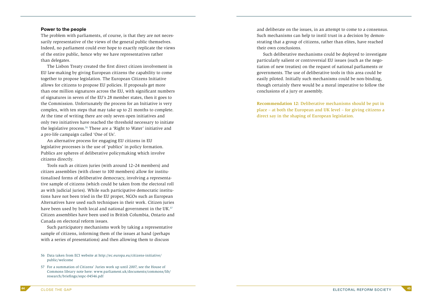#### Power to the people

The problem with parliaments, of course, is that they are not necessarily representative of the views of the general public themselves. Indeed, no parliament could ever hope to exactly replicate the views of the entire public, hence why we have representatives rather than delegates.

The Lisbon Treaty created the first direct citizen involvement in EU law-making by giving European citizens the capability to come together to propose legislation. The European Citizens Initiative allows for citizens to propose EU policies. If proposals get more than one million signatures across the EU, with significant numbers of signatures in seven of the EU's 28 member states, then it goes to the Commission. Unfortunately the process for an Initiative is very complex, with ten steps that may take up to 21 months to complete. At the time of writing there are only seven open initiatives and only two initiatives have reached the threshold necessary to initiate the legislative process.56 These are a 'Right to Water' initiative and a pro-life campaign called 'One of Us'.

An alternative process for engaging EU citizens in EU legislative processes is the use of 'publics' in policy formation. Publics are spheres of deliberative policymaking which involve citizens directly.

Tools such as citizen juries (with around 12–24 members) and citizen assemblies (with closer to 100 members) allow for institutionalised forms of deliberative democracy, involving a representative sample of citizens (which could be taken from the electoral roll as with judicial juries). While such participative democratic institutions have not been tried in the EU proper, NGOs such as European Alternatives have used such techniques in their work. Citizen juries have been used by both local and national government in the UK.<sup>57</sup> Citizen assemblies have been used in British Columbia, Ontario and Canada on electoral reform issues.

Such participatory mechanisms work by taking a representative sample of citizens, informing them of the issues at hand (perhaps with a series of presentations) and then allowing them to discuss

and deliberate on the issues, in an attempt to come to a consensus. Such mechanisms can help to instil trust in a decision by demonstrating that a group of citizens, rather than elites, have reached their own conclusions.

Such deliberative mechanisms could be deployed to investigate particularly salient or controversial EU issues (such as the negotiation of new treaties) on the request of national parliaments or governments. The use of deliberative tools in this area could be easily piloted. Initially such mechanisms could be non-binding, though certainly there would be a moral imperative to follow the conclusions of a jury or assembly.

**Recommendation 12:** Deliberative mechanisms should be put in place – at both the European and UK level – for giving citizens a direct say in the shaping of European legislation.

<sup>56</sup> Data taken from ECI website at http://ec.europa.eu/citizens-initiative/ public/welcome

<sup>57</sup> For a summation of Citizens' Juries work up until 2007, see the House of Commons library note here: www.parliament.uk/documents/commons/lib/ research/briefings/snpc-04546.pdf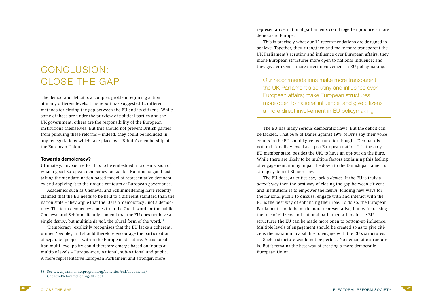## CONCLUSION: CLOSE THE GAP

The democratic deficit is a complex problem requiring action at many different levels. This report has suggested 12 different methods for closing the gap between the EU and its citizens. While some of these are under the purview of political parties and the UK government, others are the responsibility of the European institutions themselves. But this should not prevent British parties from pursuing these reforms – indeed, they could be included in any renegotiations which take place over Britain's membership of the European Union.

#### Towards demoicracy?

Ultimately, any such effort has to be embedded in a clear vision of what a good European democracy looks like. But it is no good just taking the standard nation-based model of representative democracy and applying it to the unique contours of European governance.

Academics such as Cheneval and Schimmelfennig have recently claimed that the EU needs to be held to a different standard than the nation state – they argue that the EU is a 'demoicracy', not a democracy. The term democracy comes from the Greek word for the public. Cheneval and Schimmelfennig contend that the EU does not have a single *demos*, but multiple *demoi*, the plural form of the word.58

'Demoicracy' explicitly recognises that the EU lacks a coherent, unified 'people', and should therefore encourage the participation of separate 'peoples' within the European structure. A cosmopolitan multi-level polity could therefore emerge based on inputs at multiple levels – Europe-wide, national, sub-national and public. A more representative European Parliament and stronger, more

representative, national parliaments could together produce a more democratic Europe.

This is precisely what our 12 recommendations are designed to achieve. Together, they strengthen and make more transparent the UK Parliament's scrutiny and influence over European affairs; they make European structures more open to national influence; and they give citizens a more direct involvement in EU policymaking.

Our recommendations make more transparent the UK Parliament's scrutiny and influence over European affairs; make European structures more open to national influence; and give citizens a more direct involvement in EU policymaking

The EU has many serious democratic flaws. But the deficit can be tackled. That 56% of Danes against 19% of Brits say their voice counts in the EU should give us pause for thought. Denmark is not traditionally viewed as a pro-European nation. It is the only EU member state, besides the UK, to have an opt-out on the Euro. While there are likely to be multiple factors explaining this feeling of engagement, it may in part be down to the Danish parliament's strong system of EU scrutiny.

The EU does, as critics say, lack a *demos*. If the EU is truly a *demoicracy* then the best way of closing the gap between citizens and institutions is to empower the *demoi*. Finding new ways for the national public to discuss, engage with and interact with the EU is the best way of enhancing their role. To do so, the European Parliament should be made more representative, but by increasing the role of citizens and national parliamentarians in the EU structures the EU can be made more open to bottom-up influence. Multiple levels of engagement should be created so as to give citizens the maximum capability to engage with the EU's structures.

Such a structure would not be perfect. No democratic structure is. But it remains the best way of creating a more democratic European Union.

<sup>58</sup> See www.jeanmonnetprogram.org/activities/enl/documents/ ChenevalSchimmelfennig2012.pdf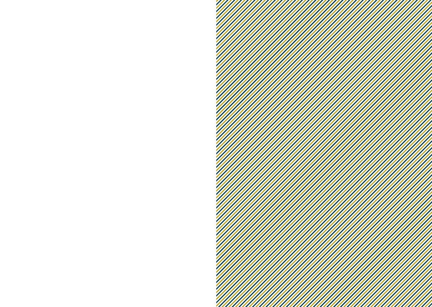